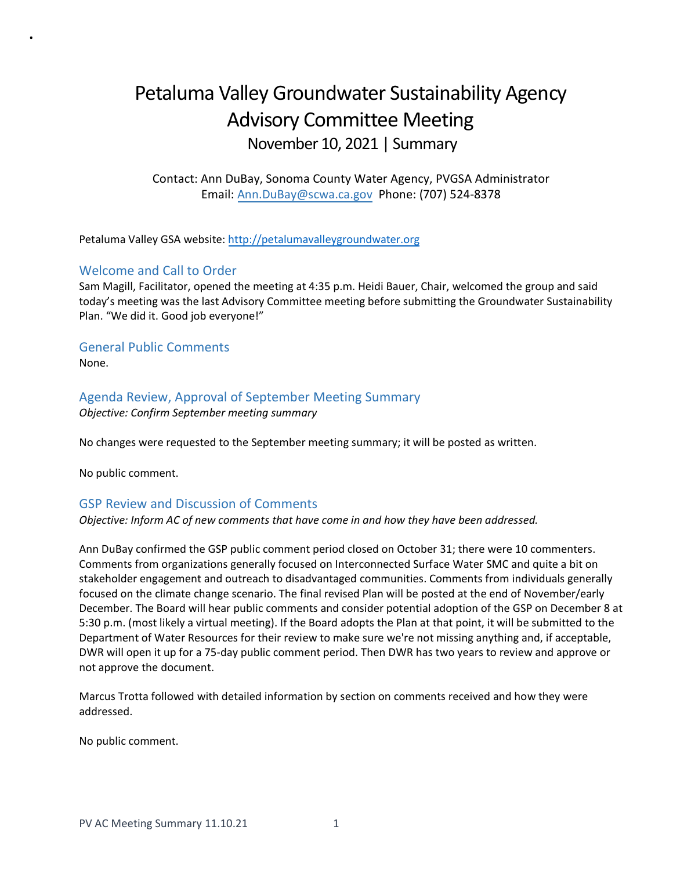# Petaluma Valley Groundwater Sustainability Agency Advisory Committee Meeting November 10, 2021 | Summary

Contact: Ann DuBay, Sonoma County Water Agency, PVGSA Administrator Email: [Ann.DuBay@scwa.ca.gov](mailto:Ann.DuBay@scwa.ca.gov) Phone: (707) 524-8378

Petaluma Valley GSA website: [http://petalumavalleygroundwater.org](http://petalumavalleygroundwater.org/)

# Welcome and Call to Order

.

Sam Magill, Facilitator, opened the meeting at 4:35 p.m. Heidi Bauer, Chair, welcomed the group and said today's meeting was the last Advisory Committee meeting before submitting the Groundwater Sustainability Plan. "We did it. Good job everyone!"

General Public Comments None.

# Agenda Review, Approval of September Meeting Summary

*Objective: Confirm September meeting summary*

No changes were requested to the September meeting summary; it will be posted as written.

No public comment.

## GSP Review and Discussion of Comments

## *Objective: Inform AC of new comments that have come in and how they have been addressed.*

Ann DuBay confirmed the GSP public comment period closed on October 31; there were 10 commenters. Comments from organizations generally focused on Interconnected Surface Water SMC and quite a bit on stakeholder engagement and outreach to disadvantaged communities. Comments from individuals generally focused on the climate change scenario. The final revised Plan will be posted at the end of November/early December. The Board will hear public comments and consider potential adoption of the GSP on December 8 at 5:30 p.m. (most likely a virtual meeting). If the Board adopts the Plan at that point, it will be submitted to the Department of Water Resources for their review to make sure we're not missing anything and, if acceptable, DWR will open it up for a 75-day public comment period. Then DWR has two years to review and approve or not approve the document.

Marcus Trotta followed with detailed information by section on comments received and how they were addressed.

No public comment.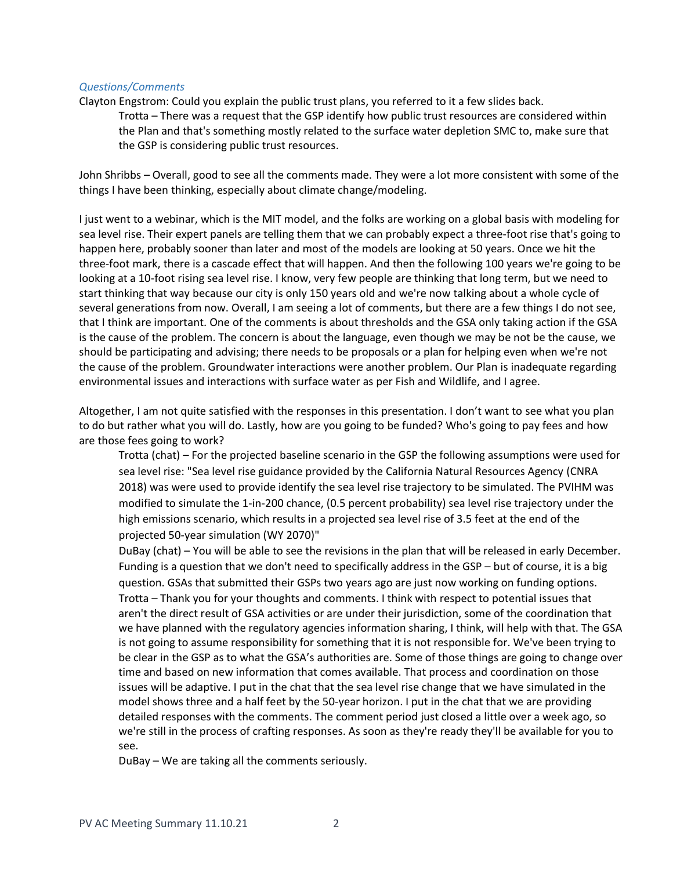#### *Questions/Comments*

Clayton Engstrom: Could you explain the public trust plans, you referred to it a few slides back.

Trotta – There was a request that the GSP identify how public trust resources are considered within the Plan and that's something mostly related to the surface water depletion SMC to, make sure that the GSP is considering public trust resources.

John Shribbs – Overall, good to see all the comments made. They were a lot more consistent with some of the things I have been thinking, especially about climate change/modeling.

I just went to a webinar, which is the MIT model, and the folks are working on a global basis with modeling for sea level rise. Their expert panels are telling them that we can probably expect a three-foot rise that's going to happen here, probably sooner than later and most of the models are looking at 50 years. Once we hit the three-foot mark, there is a cascade effect that will happen. And then the following 100 years we're going to be looking at a 10-foot rising sea level rise. I know, very few people are thinking that long term, but we need to start thinking that way because our city is only 150 years old and we're now talking about a whole cycle of several generations from now. Overall, I am seeing a lot of comments, but there are a few things I do not see, that I think are important. One of the comments is about thresholds and the GSA only taking action if the GSA is the cause of the problem. The concern is about the language, even though we may be not be the cause, we should be participating and advising; there needs to be proposals or a plan for helping even when we're not the cause of the problem. Groundwater interactions were another problem. Our Plan is inadequate regarding environmental issues and interactions with surface water as per Fish and Wildlife, and I agree.

Altogether, I am not quite satisfied with the responses in this presentation. I don't want to see what you plan to do but rather what you will do. Lastly, how are you going to be funded? Who's going to pay fees and how are those fees going to work?

Trotta (chat) – For the projected baseline scenario in the GSP the following assumptions were used for sea level rise: "Sea level rise guidance provided by the California Natural Resources Agency (CNRA 2018) was were used to provide identify the sea level rise trajectory to be simulated. The PVIHM was modified to simulate the 1-in-200 chance, (0.5 percent probability) sea level rise trajectory under the high emissions scenario, which results in a projected sea level rise of 3.5 feet at the end of the projected 50-year simulation (WY 2070)"

DuBay (chat) – You will be able to see the revisions in the plan that will be released in early December. Funding is a question that we don't need to specifically address in the GSP – but of course, it is a big question. GSAs that submitted their GSPs two years ago are just now working on funding options. Trotta – Thank you for your thoughts and comments. I think with respect to potential issues that aren't the direct result of GSA activities or are under their jurisdiction, some of the coordination that we have planned with the regulatory agencies information sharing, I think, will help with that. The GSA is not going to assume responsibility for something that it is not responsible for. We've been trying to be clear in the GSP as to what the GSA's authorities are. Some of those things are going to change over time and based on new information that comes available. That process and coordination on those issues will be adaptive. I put in the chat that the sea level rise change that we have simulated in the model shows three and a half feet by the 50-year horizon. I put in the chat that we are providing detailed responses with the comments. The comment period just closed a little over a week ago, so we're still in the process of crafting responses. As soon as they're ready they'll be available for you to see.

DuBay – We are taking all the comments seriously.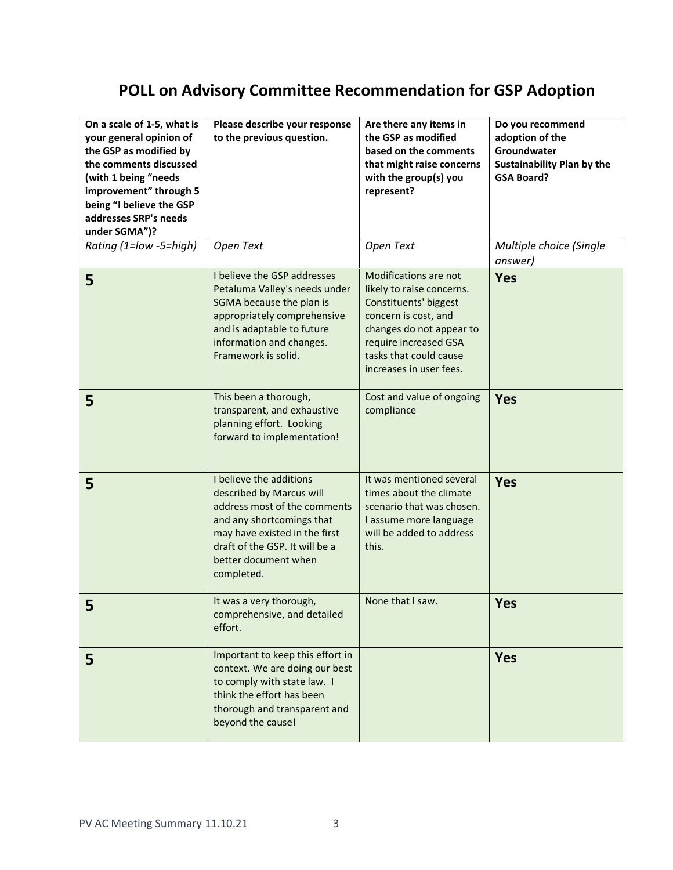# **POLL on Advisory Committee Recommendation for GSP Adoption**

| On a scale of 1-5, what is<br>your general opinion of<br>the GSP as modified by<br>the comments discussed<br>(with 1 being "needs<br>improvement" through 5<br>being "I believe the GSP<br>addresses SRP's needs<br>under SGMA")? | Please describe your response<br>to the previous question.                                                                                                                                                                | Are there any items in<br>the GSP as modified<br>based on the comments<br>that might raise concerns<br>with the group(s) you<br>represent?                                                                    | Do you recommend<br>adoption of the<br>Groundwater<br><b>Sustainability Plan by the</b><br><b>GSA Board?</b> |
|-----------------------------------------------------------------------------------------------------------------------------------------------------------------------------------------------------------------------------------|---------------------------------------------------------------------------------------------------------------------------------------------------------------------------------------------------------------------------|---------------------------------------------------------------------------------------------------------------------------------------------------------------------------------------------------------------|--------------------------------------------------------------------------------------------------------------|
| Rating (1=low -5=high)                                                                                                                                                                                                            | Open Text                                                                                                                                                                                                                 | Open Text                                                                                                                                                                                                     | Multiple choice (Single<br>answer)                                                                           |
| 5                                                                                                                                                                                                                                 | I believe the GSP addresses<br>Petaluma Valley's needs under<br>SGMA because the plan is<br>appropriately comprehensive<br>and is adaptable to future<br>information and changes.<br>Framework is solid.                  | Modifications are not<br>likely to raise concerns.<br>Constituents' biggest<br>concern is cost, and<br>changes do not appear to<br>require increased GSA<br>tasks that could cause<br>increases in user fees. | <b>Yes</b>                                                                                                   |
| 5                                                                                                                                                                                                                                 | This been a thorough,<br>transparent, and exhaustive<br>planning effort. Looking<br>forward to implementation!                                                                                                            | Cost and value of ongoing<br>compliance                                                                                                                                                                       | <b>Yes</b>                                                                                                   |
| 5                                                                                                                                                                                                                                 | I believe the additions<br>described by Marcus will<br>address most of the comments<br>and any shortcomings that<br>may have existed in the first<br>draft of the GSP. It will be a<br>better document when<br>completed. | It was mentioned several<br>times about the climate<br>scenario that was chosen.<br>I assume more language<br>will be added to address<br>this.                                                               | <b>Yes</b>                                                                                                   |
| c                                                                                                                                                                                                                                 | It was a very thorough,<br>comprehensive, and detailed<br>effort.                                                                                                                                                         | None that I saw.                                                                                                                                                                                              | <b>Yes</b>                                                                                                   |
| 5                                                                                                                                                                                                                                 | Important to keep this effort in<br>context. We are doing our best<br>to comply with state law. I<br>think the effort has been<br>thorough and transparent and<br>beyond the cause!                                       |                                                                                                                                                                                                               | <b>Yes</b>                                                                                                   |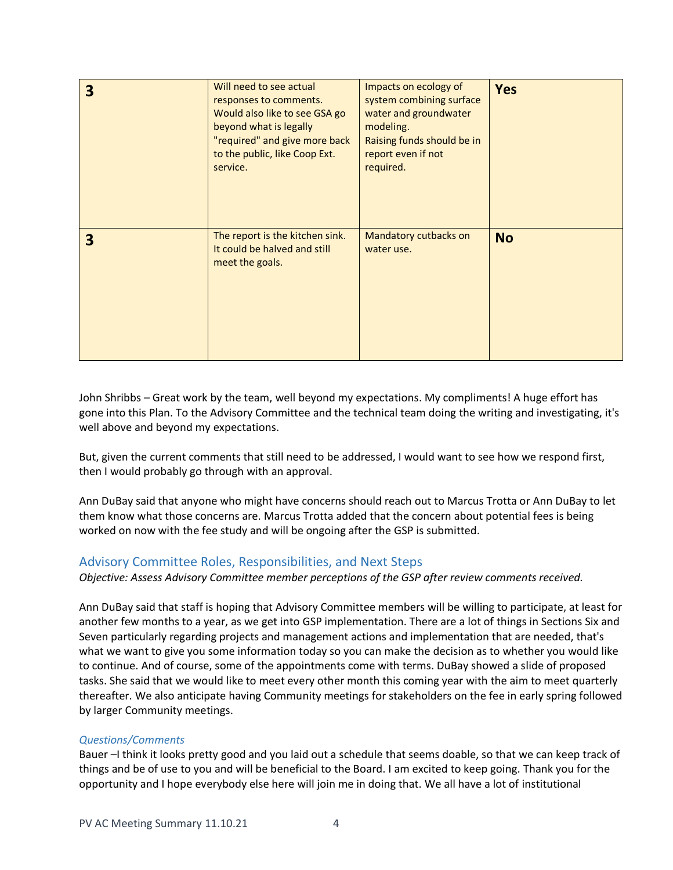| 3 | Will need to see actual<br>responses to comments.<br>Would also like to see GSA go<br>beyond what is legally<br>"required" and give more back<br>to the public, like Coop Ext.<br>service. | Impacts on ecology of<br>system combining surface<br>water and groundwater<br>modeling.<br>Raising funds should be in<br>report even if not<br>required. | <b>Yes</b> |
|---|--------------------------------------------------------------------------------------------------------------------------------------------------------------------------------------------|----------------------------------------------------------------------------------------------------------------------------------------------------------|------------|
| 3 | The report is the kitchen sink.<br>It could be halved and still<br>meet the goals.                                                                                                         | Mandatory cutbacks on<br>water use.                                                                                                                      | <b>No</b>  |

John Shribbs – Great work by the team, well beyond my expectations. My compliments! A huge effort has gone into this Plan. To the Advisory Committee and the technical team doing the writing and investigating, it's well above and beyond my expectations.

But, given the current comments that still need to be addressed, I would want to see how we respond first, then I would probably go through with an approval.

Ann DuBay said that anyone who might have concerns should reach out to Marcus Trotta or Ann DuBay to let them know what those concerns are. Marcus Trotta added that the concern about potential fees is being worked on now with the fee study and will be ongoing after the GSP is submitted.

## Advisory Committee Roles, Responsibilities, and Next Steps

## *Objective: Assess Advisory Committee member perceptions of the GSP after review comments received.*

Ann DuBay said that staff is hoping that Advisory Committee members will be willing to participate, at least for another few months to a year, as we get into GSP implementation. There are a lot of things in Sections Six and Seven particularly regarding projects and management actions and implementation that are needed, that's what we want to give you some information today so you can make the decision as to whether you would like to continue. And of course, some of the appointments come with terms. DuBay showed a slide of proposed tasks. She said that we would like to meet every other month this coming year with the aim to meet quarterly thereafter. We also anticipate having Community meetings for stakeholders on the fee in early spring followed by larger Community meetings.

## *Questions/Comments*

Bauer –I think it looks pretty good and you laid out a schedule that seems doable, so that we can keep track of things and be of use to you and will be beneficial to the Board. I am excited to keep going. Thank you for the opportunity and I hope everybody else here will join me in doing that. We all have a lot of institutional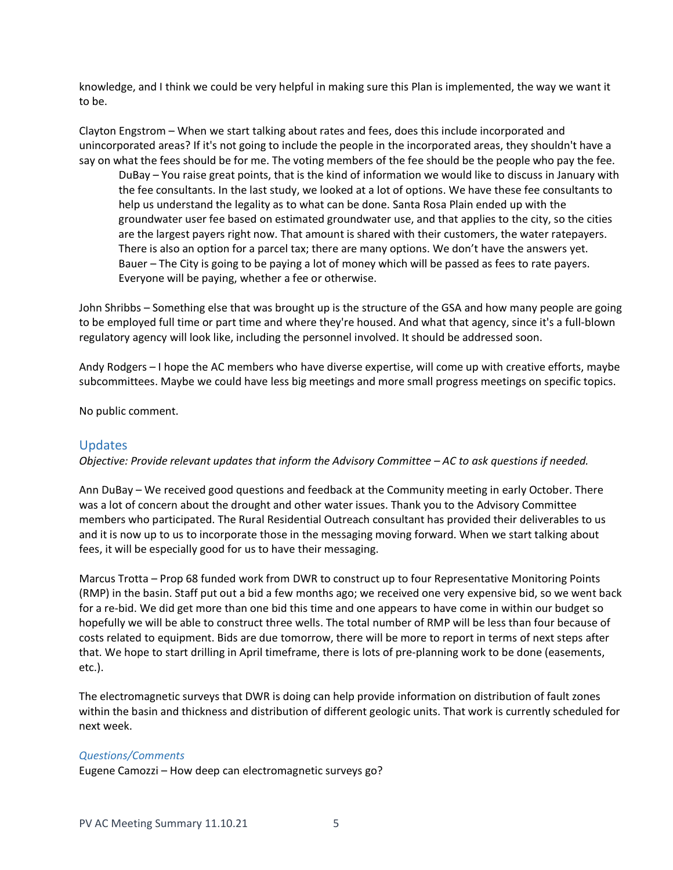knowledge, and I think we could be very helpful in making sure this Plan is implemented, the way we want it to be.

Clayton Engstrom – When we start talking about rates and fees, does this include incorporated and unincorporated areas? If it's not going to include the people in the incorporated areas, they shouldn't have a say on what the fees should be for me. The voting members of the fee should be the people who pay the fee.

DuBay – You raise great points, that is the kind of information we would like to discuss in January with the fee consultants. In the last study, we looked at a lot of options. We have these fee consultants to help us understand the legality as to what can be done. Santa Rosa Plain ended up with the groundwater user fee based on estimated groundwater use, and that applies to the city, so the cities are the largest payers right now. That amount is shared with their customers, the water ratepayers. There is also an option for a parcel tax; there are many options. We don't have the answers yet. Bauer – The City is going to be paying a lot of money which will be passed as fees to rate payers. Everyone will be paying, whether a fee or otherwise.

John Shribbs – Something else that was brought up is the structure of the GSA and how many people are going to be employed full time or part time and where they're housed. And what that agency, since it's a full-blown regulatory agency will look like, including the personnel involved. It should be addressed soon.

Andy Rodgers – I hope the AC members who have diverse expertise, will come up with creative efforts, maybe subcommittees. Maybe we could have less big meetings and more small progress meetings on specific topics.

No public comment.

## Updates

*Objective: Provide relevant updates that inform the Advisory Committee – AC to ask questions if needed.* 

Ann DuBay – We received good questions and feedback at the Community meeting in early October. There was a lot of concern about the drought and other water issues. Thank you to the Advisory Committee members who participated. The Rural Residential Outreach consultant has provided their deliverables to us and it is now up to us to incorporate those in the messaging moving forward. When we start talking about fees, it will be especially good for us to have their messaging.

Marcus Trotta – Prop 68 funded work from DWR to construct up to four Representative Monitoring Points (RMP) in the basin. Staff put out a bid a few months ago; we received one very expensive bid, so we went back for a re-bid. We did get more than one bid this time and one appears to have come in within our budget so hopefully we will be able to construct three wells. The total number of RMP will be less than four because of costs related to equipment. Bids are due tomorrow, there will be more to report in terms of next steps after that. We hope to start drilling in April timeframe, there is lots of pre-planning work to be done (easements, etc.).

The electromagnetic surveys that DWR is doing can help provide information on distribution of fault zones within the basin and thickness and distribution of different geologic units. That work is currently scheduled for next week.

## *Questions/Comments*

Eugene Camozzi – How deep can electromagnetic surveys go?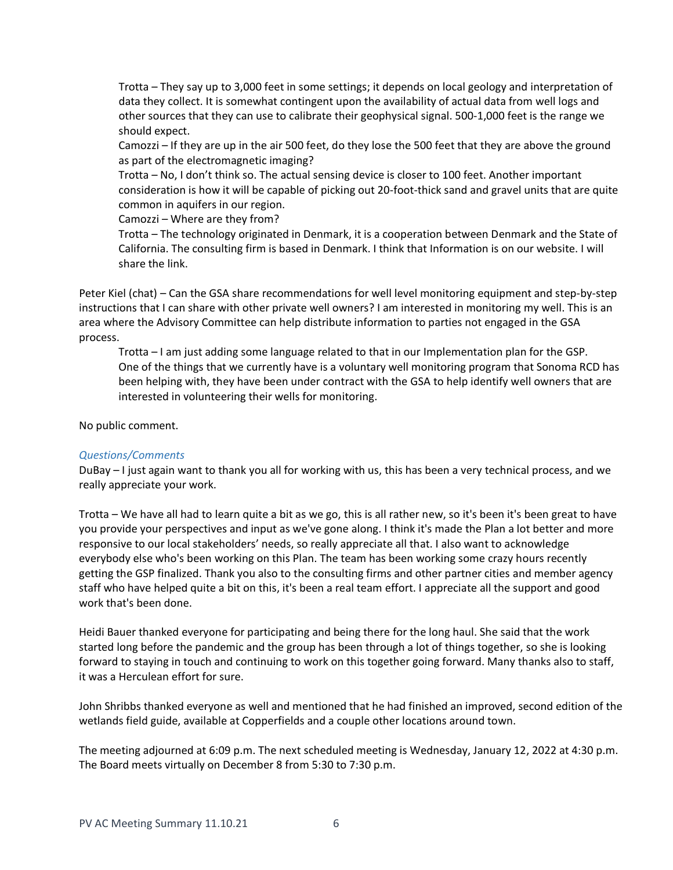Trotta – They say up to 3,000 feet in some settings; it depends on local geology and interpretation of data they collect. It is somewhat contingent upon the availability of actual data from well logs and other sources that they can use to calibrate their geophysical signal. 500-1,000 feet is the range we should expect.

Camozzi – If they are up in the air 500 feet, do they lose the 500 feet that they are above the ground as part of the electromagnetic imaging?

Trotta – No, I don't think so. The actual sensing device is closer to 100 feet. Another important consideration is how it will be capable of picking out 20-foot-thick sand and gravel units that are quite common in aquifers in our region.

Camozzi – Where are they from?

Trotta – The technology originated in Denmark, it is a cooperation between Denmark and the State of California. The consulting firm is based in Denmark. I think that Information is on our website. I will share the link.

Peter Kiel (chat) – Can the GSA share recommendations for well level monitoring equipment and step-by-step instructions that I can share with other private well owners? I am interested in monitoring my well. This is an area where the Advisory Committee can help distribute information to parties not engaged in the GSA process.

Trotta – I am just adding some language related to that in our Implementation plan for the GSP. One of the things that we currently have is a voluntary well monitoring program that Sonoma RCD has been helping with, they have been under contract with the GSA to help identify well owners that are interested in volunteering their wells for monitoring.

No public comment.

## *Questions/Comments*

DuBay – I just again want to thank you all for working with us, this has been a very technical process, and we really appreciate your work.

Trotta – We have all had to learn quite a bit as we go, this is all rather new, so it's been it's been great to have you provide your perspectives and input as we've gone along. I think it's made the Plan a lot better and more responsive to our local stakeholders' needs, so really appreciate all that. I also want to acknowledge everybody else who's been working on this Plan. The team has been working some crazy hours recently getting the GSP finalized. Thank you also to the consulting firms and other partner cities and member agency staff who have helped quite a bit on this, it's been a real team effort. I appreciate all the support and good work that's been done.

Heidi Bauer thanked everyone for participating and being there for the long haul. She said that the work started long before the pandemic and the group has been through a lot of things together, so she is looking forward to staying in touch and continuing to work on this together going forward. Many thanks also to staff, it was a Herculean effort for sure.

John Shribbs thanked everyone as well and mentioned that he had finished an improved, second edition of the wetlands field guide, available at Copperfields and a couple other locations around town.

The meeting adjourned at 6:09 p.m. The next scheduled meeting is Wednesday, January 12, 2022 at 4:30 p.m. The Board meets virtually on December 8 from 5:30 to 7:30 p.m.